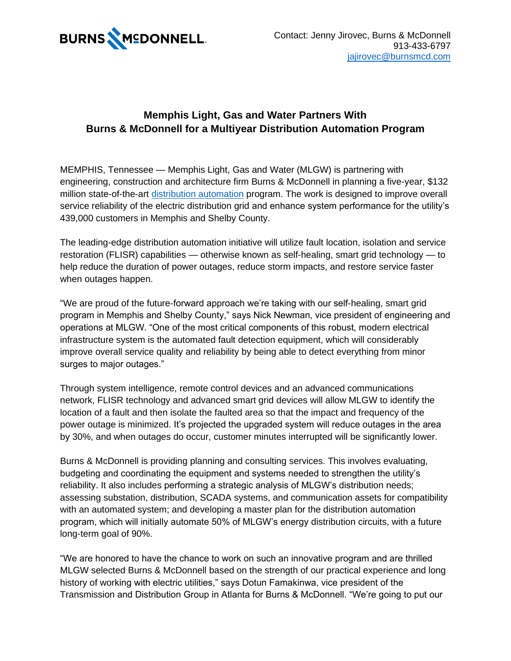

## **Memphis Light, Gas and Water Partners With Burns & McDonnell for a Multiyear Distribution Automation Program**

MEMPHIS, Tennessee — Memphis Light, Gas and Water (MLGW) is partnering with engineering, construction and architecture firm Burns & McDonnell in planning a five-year, \$132 million state-of-the-art [distribution automation](https://hubs.ly/Q01dX8q10) program. The work is designed to improve overall service reliability of the electric distribution grid and enhance system performance for the utility's 439,000 customers in Memphis and Shelby County.

The leading-edge distribution automation initiative will utilize fault location, isolation and service restoration (FLISR) capabilities — otherwise known as self-healing, smart grid technology — to help reduce the duration of power outages, reduce storm impacts, and restore service faster when outages happen.

"We are proud of the future-forward approach we're taking with our self-healing, smart grid program in Memphis and Shelby County," says Nick Newman, vice president of engineering and operations at MLGW. "One of the most critical components of this robust, modern electrical infrastructure system is the automated fault detection equipment, which will considerably improve overall service quality and reliability by being able to detect everything from minor surges to major outages."

Through system intelligence, remote control devices and an advanced communications network, FLISR technology and advanced smart grid devices will allow MLGW to identify the location of a fault and then isolate the faulted area so that the impact and frequency of the power outage is minimized. It's projected the upgraded system will reduce outages in the area by 30%, and when outages do occur, customer minutes interrupted will be significantly lower.

Burns & McDonnell is providing planning and consulting services. This involves evaluating, budgeting and coordinating the equipment and systems needed to strengthen the utility's reliability. It also includes performing a strategic analysis of MLGW's distribution needs; assessing substation, distribution, SCADA systems, and communication assets for compatibility with an automated system; and developing a master plan for the distribution automation program, which will initially automate 50% of MLGW's energy distribution circuits, with a future long-term goal of 90%.

"We are honored to have the chance to work on such an innovative program and are thrilled MLGW selected Burns & McDonnell based on the strength of our practical experience and long history of working with electric utilities," says Dotun Famakinwa, vice president of the Transmission and Distribution Group in Atlanta for Burns & McDonnell. "We're going to put our